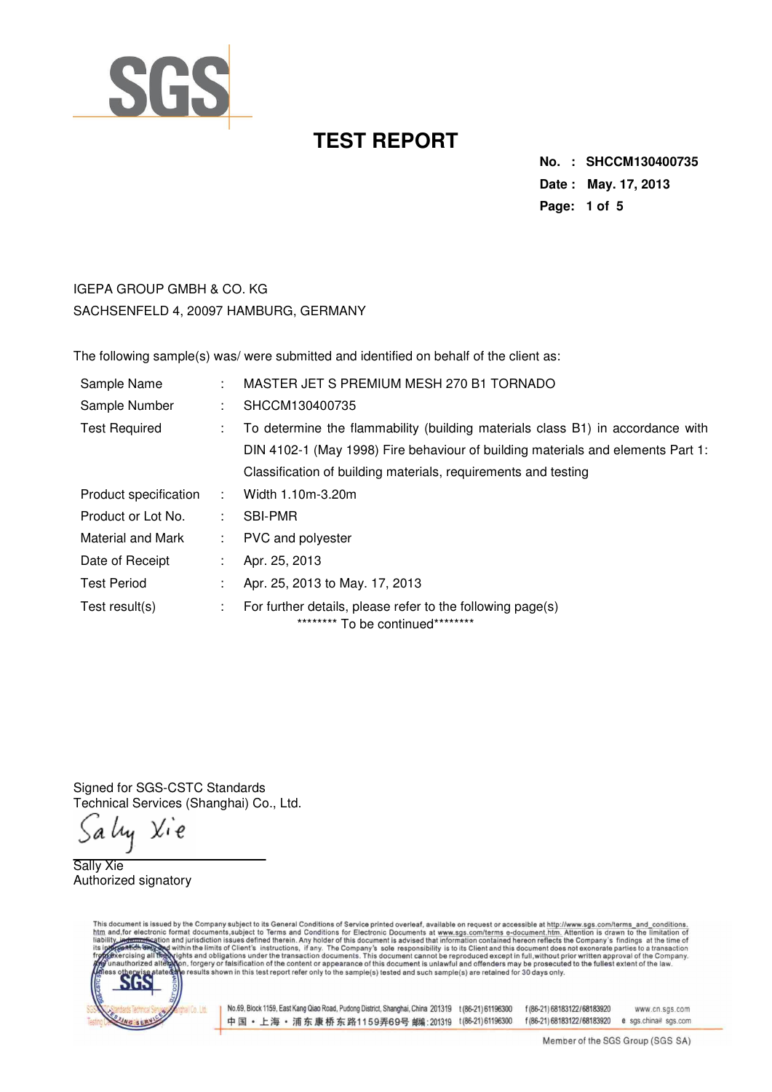

**No. : SHCCM130400735 Date : May. 17, 2013 Page: 1 of 5** 

IGEPA GROUP GMBH & CO. KG SACHSENFELD 4, 20097 HAMBURG, GERMANY

The following sample(s) was/ were submitted and identified on behalf of the client as:

| Sample Name           |    | MASTER JET S PREMIUM MESH 270 B1 TORNADO                                                         |
|-----------------------|----|--------------------------------------------------------------------------------------------------|
| Sample Number         |    | SHCCM130400735                                                                                   |
| <b>Test Required</b>  |    | To determine the flammability (building materials class B1) in accordance with                   |
|                       |    | DIN 4102-1 (May 1998) Fire behaviour of building materials and elements Part 1:                  |
|                       |    | Classification of building materials, requirements and testing                                   |
| Product specification |    | Width 1.10m-3.20m                                                                                |
| Product or Lot No.    |    | <b>SBI-PMR</b>                                                                                   |
| Material and Mark     | t. | PVC and polyester                                                                                |
| Date of Receipt       |    | Apr. 25, 2013                                                                                    |
| <b>Test Period</b>    |    | Apr. 25, 2013 to May. 17, 2013                                                                   |
| Test result(s)        | t. | For further details, please refer to the following page(s)<br>********* To be continued********* |

Signed for SGS-CSTC Standards Technical Services (Shanghai) Co., Ltd.

Salıy Xie

Sally Xie Authorized signatory

This document is issued by the Company subject to its General Conditions of Service printed overleaf, available on request or accessible at http://www.sgs.com/terms\_and\_conditions.<br>htm\_and,for electronic format documents,s



No.69, Block 1159, East Kang Qiao Road, Pudong District, Shanghai, China 201319 t (86-21) 61196300 f (86-21) 68183122/68183920 中国·上海·浦东康桥东路1159弄69号 邮编:201319 t(86-21)61196300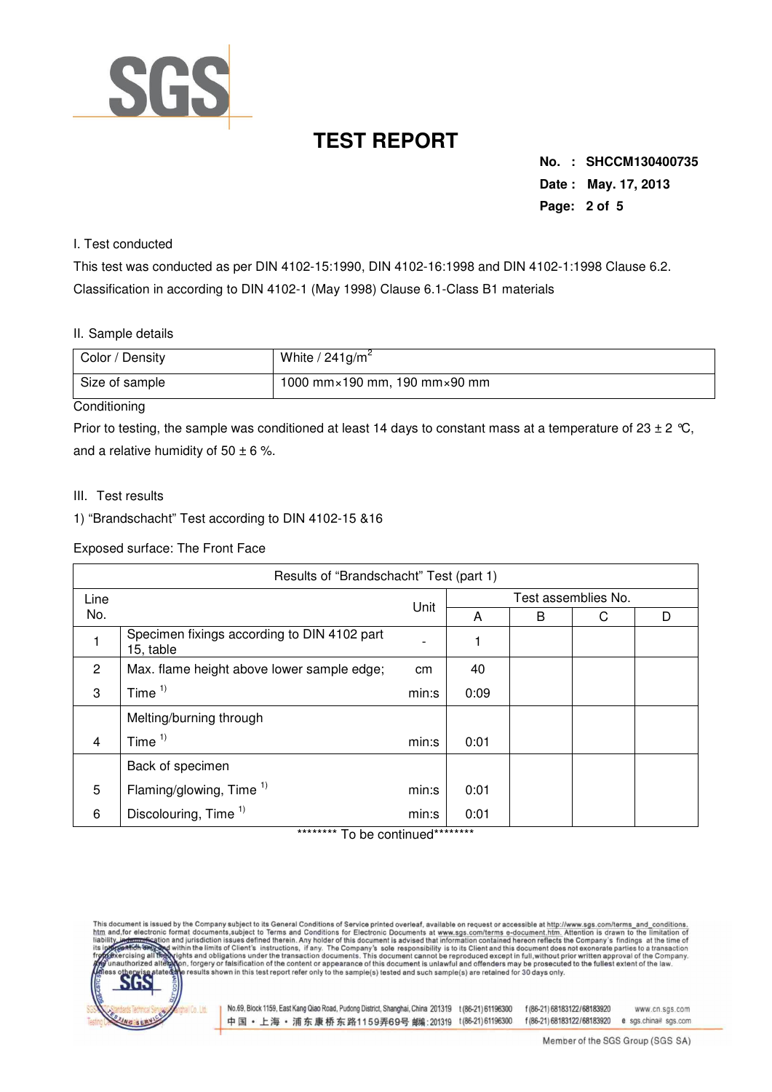

**No. : SHCCM130400735 Date : May. 17, 2013 Page: 2 of 5** 

#### I. Test conducted

This test was conducted as per DIN 4102-15:1990, DIN 4102-16:1998 and DIN 4102-1:1998 Clause 6.2. Classification in according to DIN 4102-1 (May 1998) Clause 6.1-Class B1 materials

#### II. Sample details

| Color / Density             | White / $241$ g/m <sup>2</sup>                 |
|-----------------------------|------------------------------------------------|
| Size of sample              | 1000 mm $\times$ 190 mm, 190 mm $\times$ 90 mm |
| $\sim$ $\sim$ $\sim$ $\sim$ |                                                |

#### **Conditioning**

Prior to testing, the sample was conditioned at least 14 days to constant mass at a temperature of 23  $\pm$  2 °C, and a relative humidity of  $50 \pm 6$  %.

- III. Test results
- 1) "Brandschacht" Test according to DIN 4102-15 &16

Exposed surface: The Front Face

| Results of "Brandschacht" Test (part 1) |                                                          |       |                     |   |   |   |  |  |
|-----------------------------------------|----------------------------------------------------------|-------|---------------------|---|---|---|--|--|
| Line                                    |                                                          | Unit  | Test assemblies No. |   |   |   |  |  |
| No.                                     |                                                          |       | A                   | B | С | D |  |  |
|                                         | Specimen fixings according to DIN 4102 part<br>15, table |       |                     |   |   |   |  |  |
| $\overline{2}$                          | Max. flame height above lower sample edge;               | cm    | 40                  |   |   |   |  |  |
| 3                                       | Time $1$                                                 | min:s | 0:09                |   |   |   |  |  |
|                                         | Melting/burning through                                  |       |                     |   |   |   |  |  |
| $\overline{4}$                          | Time $1)$                                                | min:s | 0:01                |   |   |   |  |  |
|                                         | Back of specimen                                         |       |                     |   |   |   |  |  |
| 5                                       | Flaming/glowing, Time $1$ )                              | min:s | 0:01                |   |   |   |  |  |
| 6                                       | Discolouring, Time <sup>1)</sup>                         | min:s | 0:01                |   |   |   |  |  |

To be continued

This document is issued by the Company subject to its General Conditions of Service printed overleaf, available on request or accessible at http://www.sgs.com/terms\_and\_conditions.<br>htm\_and,for\_electronic format\_documents,s



No.69, Block 1159, East Kang Qiao Road, Pudong District, Shanghai, China 201319 t (86-21) 61196300 f (86-21) 68183122/68183920 中国·上海·浦东康桥东路1159弄69号 邮编:201319 t(86-21)61196300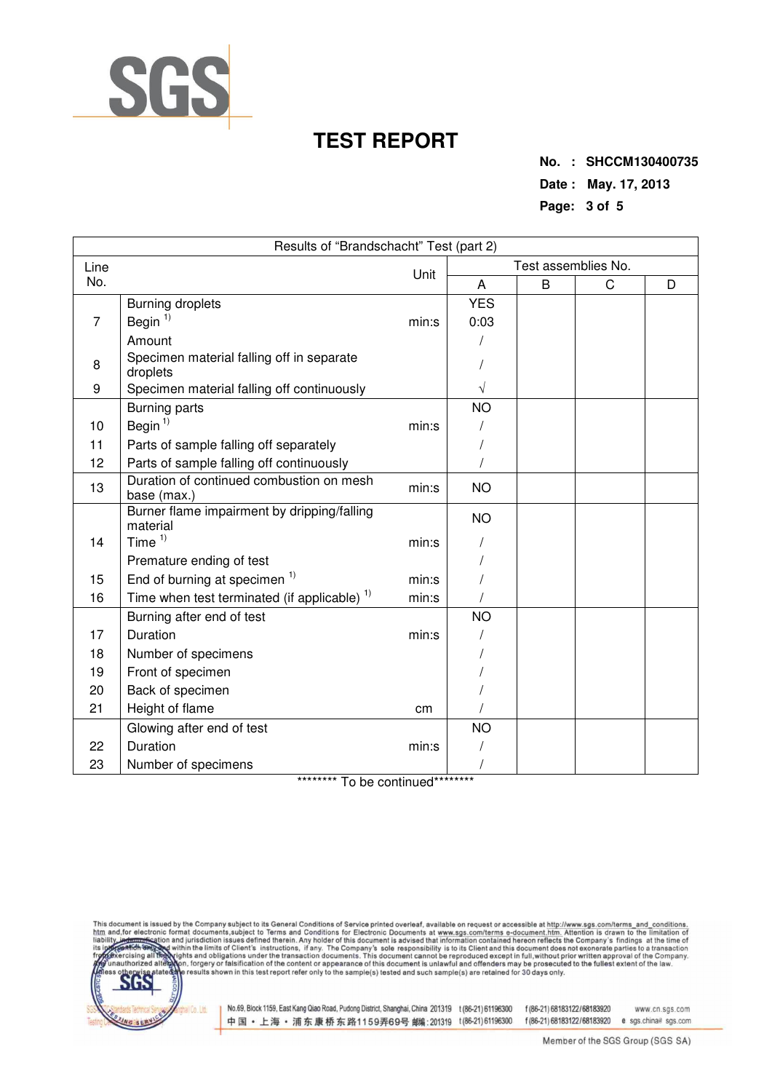

**No. : SHCCM130400735 Date : May. 17, 2013 Page: 3 of 5** 

| Results of "Brandschacht" Test (part 2) |                                                         |       |                     |   |             |   |  |  |
|-----------------------------------------|---------------------------------------------------------|-------|---------------------|---|-------------|---|--|--|
| Line                                    | Unit                                                    |       | Test assemblies No. |   |             |   |  |  |
| No.                                     |                                                         |       | Α                   | B | $\mathsf C$ | D |  |  |
|                                         | <b>Burning droplets</b>                                 |       | <b>YES</b>          |   |             |   |  |  |
| $\overline{7}$                          | Begin <sup>1)</sup>                                     | min:s | 0:03                |   |             |   |  |  |
|                                         | Amount                                                  |       |                     |   |             |   |  |  |
| 8                                       | Specimen material falling off in separate<br>droplets   |       |                     |   |             |   |  |  |
| 9                                       | Specimen material falling off continuously              |       | V                   |   |             |   |  |  |
|                                         | <b>Burning parts</b>                                    |       | <b>NO</b>           |   |             |   |  |  |
| 10                                      | Begin <sup>1)</sup>                                     | min:s |                     |   |             |   |  |  |
| 11                                      | Parts of sample falling off separately                  |       |                     |   |             |   |  |  |
| 12                                      | Parts of sample falling off continuously                |       |                     |   |             |   |  |  |
| 13                                      | Duration of continued combustion on mesh<br>base (max.) | min:s | <b>NO</b>           |   |             |   |  |  |
|                                         | Burner flame impairment by dripping/falling<br>material |       | <b>NO</b>           |   |             |   |  |  |
| 14                                      | Time $1)$                                               | min:s |                     |   |             |   |  |  |
|                                         | Premature ending of test                                |       |                     |   |             |   |  |  |
| 15                                      | End of burning at specimen <sup>1)</sup>                | min:s |                     |   |             |   |  |  |
| 16                                      | Time when test terminated (if applicable) <sup>1)</sup> | min:s |                     |   |             |   |  |  |
|                                         | Burning after end of test                               |       | <b>NO</b>           |   |             |   |  |  |
| 17                                      | Duration                                                | min:s |                     |   |             |   |  |  |
| 18                                      | Number of specimens                                     |       |                     |   |             |   |  |  |
| 19                                      | Front of specimen                                       |       |                     |   |             |   |  |  |
| 20                                      | Back of specimen                                        |       |                     |   |             |   |  |  |
| 21                                      | Height of flame                                         | cm    |                     |   |             |   |  |  |
|                                         | Glowing after end of test                               |       | <b>NO</b>           |   |             |   |  |  |
| 22                                      | Duration                                                | min:s |                     |   |             |   |  |  |
| 23                                      | Number of specimens                                     |       |                     |   |             |   |  |  |

\*\*\*\*\*\*\*\*\* To be continued\*\*\*\*\*\*\*\*\*





No.69, Block 1159, East Kang Qiao Road, Pudong District, Shanghai, China 201319 t (86-21) 61196300 f (86-21) 68183122/68183920 中国·上海·浦东康桥东路1159弄69号 邮(201319 t(86-21)61196300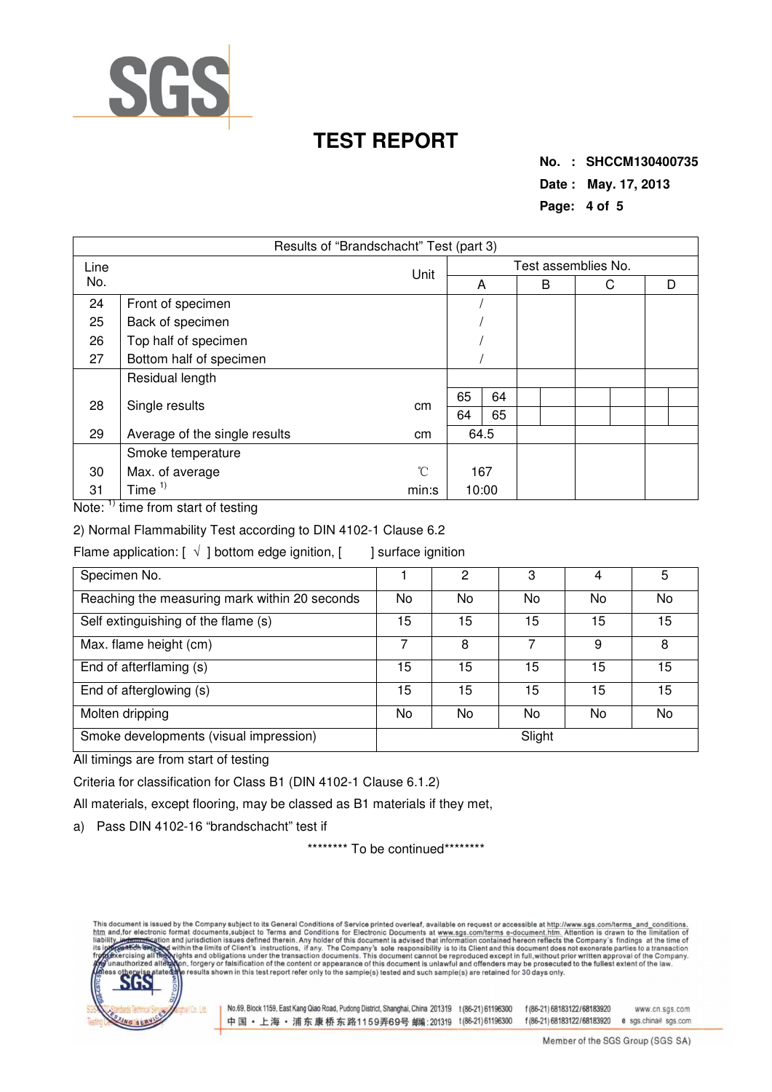

**No. : SHCCM130400735 Date : May. 17, 2013 Page: 4 of 5** 

| Results of "Brandschacht" Test (part 3) |                               |       |                     |    |  |   |   |  |   |
|-----------------------------------------|-------------------------------|-------|---------------------|----|--|---|---|--|---|
| Line<br>No.                             |                               | Unit  | Test assemblies No. |    |  |   |   |  |   |
|                                         |                               |       |                     | A  |  | B | С |  | D |
| 24                                      | Front of specimen             |       |                     |    |  |   |   |  |   |
| 25                                      | Back of specimen              |       |                     |    |  |   |   |  |   |
| 26                                      | Top half of specimen          |       |                     |    |  |   |   |  |   |
| 27                                      | Bottom half of specimen       |       |                     |    |  |   |   |  |   |
|                                         | Residual length               |       |                     |    |  |   |   |  |   |
| 28                                      | Single results                | cm    | 65                  | 64 |  |   |   |  |   |
|                                         |                               |       | 64                  | 65 |  |   |   |  |   |
| 29                                      | Average of the single results | cm    | 64.5                |    |  |   |   |  |   |
|                                         | Smoke temperature             |       |                     |    |  |   |   |  |   |
| 30                                      | Max. of average               | °C    | 167                 |    |  |   |   |  |   |
| 31                                      | Time $1$                      | min:s | 10:00               |    |  |   |   |  |   |

Note: <sup>1)</sup> time from start of testing

2) Normal Flammability Test according to DIN 4102-1 Clause 6.2

Flame application:  $[\sqrt{ } ]$  bottom edge ignition,  $[ ]$  surface ignition

| Specimen No.                                  |     | 2      | 3  | 4  | 5         |  |  |  |
|-----------------------------------------------|-----|--------|----|----|-----------|--|--|--|
| Reaching the measuring mark within 20 seconds | No. | No     | No | No | No        |  |  |  |
| Self extinguishing of the flame (s)           | 15  | 15     | 15 | 15 | 15        |  |  |  |
| Max. flame height (cm)                        |     | 8      |    | 9  | 8         |  |  |  |
| End of afterflaming (s)                       | 15  | 15     | 15 | 15 | 15        |  |  |  |
| End of afterglowing (s)                       | 15  | 15     | 15 | 15 | 15        |  |  |  |
| Molten dripping                               | No. | No     | No | No | <b>No</b> |  |  |  |
| Smoke developments (visual impression)        |     | Slight |    |    |           |  |  |  |

All timings are from start of testing

Criteria for classification for Class B1 (DIN 4102-1 Clause 6.1.2)

All materials, except flooring, may be classed as B1 materials if they met,

a) Pass DIN 4102-16 "brandschacht" test if

\*\*\*\*\*\*\*\*\* To be continued\*\*\*\*\*\*\*\*\*

This document is issued by the Company subject to its General Conditions of Service printed overleaf, available on request or accessible at http://www.sgs.com/terms and conditions.<br>htm and,for electronic format documents,s



No.69, Block 1159, East Kang Qiao Road, Pudong District, Shanghai, China 201319 t (86-21) 61196300 f (86-21) 68183122/68183920 中国·上海·浦东康桥东路1159弄69号 邮编:201319 t(86-21)61196300